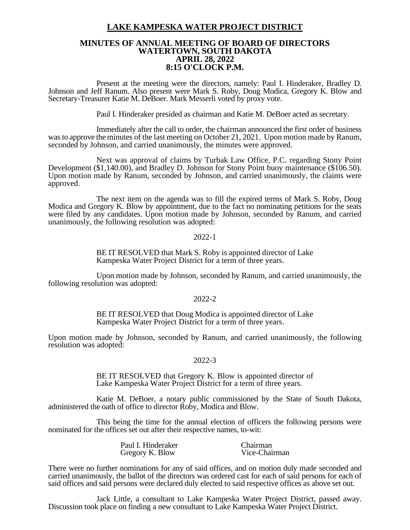# **LAKE KAMPESKA WATER PROJECT DISTRICT**

## **MINUTES OF ANNUAL MEETING OF BOARD OF DIRECTORS WATERTOWN, SOUTH DAKOTA APRIL 28, 2022 8:15 O'CLOCK P.M.**

Present at the meeting were the directors, namely: Paul I. Hinderaker, Bradley D. Johnson and Jeff Ranum. Also present were Mark S. Roby, Doug Modica, Gregory K. Blow and Secretary-Treasurer Katie M. DeBoer. Mark Messerli voted by proxy vote.

Paul I. Hinderaker presided as chairman and Katie M. DeBoer acted as secretary.

Immediately after the call to order, the chairman announced the first order of business was to approve the minutes of the last meeting on October 21, 2021. Upon motion made by Ranum, seconded by Johnson, and carried unanimously, the minutes were approved.

Next was approval of claims by Turbak Law Office, P.C. regarding Stony Point Development (\$1,140.00), and Bradley D. Johnson for Stony Point buoy maintenance (\$106.50). Upon motion made by Ranum, seconded by Johnson, and carried unanimously, the claims were approved.

The next item on the agenda was to fill the expired terms of Mark S. Roby, Doug Modica and Gregory K. Blow by appointment, due to the fact no nominating petitions for the seats were filed by any candidates. Upon motion made by Johnson, seconded by Ranum, and carried unanimously, the following resolution was adopted:

### 2022-1

BE IT RESOLVED that Mark S. Roby is appointed director of Lake Kampeska Water Project District for a term of three years.

Upon motion made by Johnson, seconded by Ranum, and carried unanimously, the following resolution was adopted:

#### 2022-2

BE IT RESOLVED that Doug Modica is appointed director of Lake Kampeska Water Project District for a term of three years.

Upon motion made by Johnson, seconded by Ranum, and carried unanimously, the following resolution was adopted:

#### 2022-3

BE IT RESOLVED that Gregory K. Blow is appointed director of Lake Kampeska Water Project District for a term of three years.

Katie M. DeBoer, a notary public commissioned by the State of South Dakota, administered the oath of office to director Roby, Modica and Blow.

This being the time for the annual election of officers the following persons were nominated for the offices set out after their respective names, to-wit:

| Paul I. Hinderaker | Chairman      |
|--------------------|---------------|
| Gregory K. Blow    | Vice-Chairman |

There were no further nominations for any of said offices, and on motion duly made seconded and carried unanimously, the ballot of the directors was ordered cast for each of said persons for each of said offices and said persons were declared duly elected to said respective offices as above set out.

Jack Little, a consultant to Lake Kampeska Water Project District, passed away. Discussion took place on finding a new consultant to Lake Kampeska Water Project District.